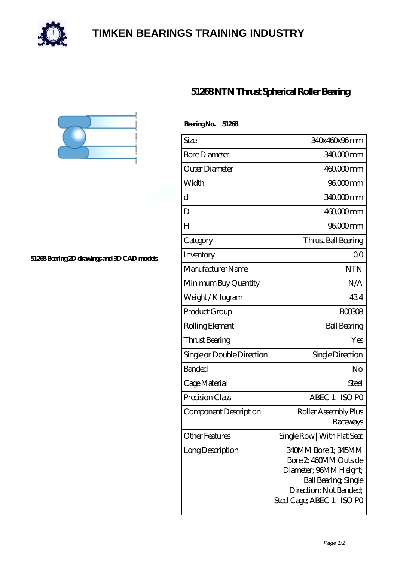

## **[TIMKEN BEARINGS TRAINING INDUSTRY](https://internationaldrugdiscovery.com)**





**[51268 Bearing 2D drawings and 3D CAD models](https://internationaldrugdiscovery.com/pic-920265.html)**

| Bearing No.<br>51268       |                                                                                                                                                         |
|----------------------------|---------------------------------------------------------------------------------------------------------------------------------------------------------|
| Size                       | 340x460x96mm                                                                                                                                            |
| <b>Bore Diameter</b>       | 340,000 mm                                                                                                                                              |
| Outer Diameter             | $46000$ mm                                                                                                                                              |
| Width                      | 96,000 mm                                                                                                                                               |
| d                          | 340,000 mm                                                                                                                                              |
| D                          | 460,000mm                                                                                                                                               |
| $H_{\rm}$                  | 96,000 mm                                                                                                                                               |
| Category                   | Thrust Ball Bearing                                                                                                                                     |
| Inventory                  | 0 <sup>0</sup>                                                                                                                                          |
| Manufacturer Name          | <b>NTN</b>                                                                                                                                              |
| Minimum Buy Quantity       | N/A                                                                                                                                                     |
| Weight / Kilogram          | 434                                                                                                                                                     |
| Product Group              | <b>BOO3O8</b>                                                                                                                                           |
| Rolling Element            | <b>Ball Bearing</b>                                                                                                                                     |
| Thrust Bearing             | Yes                                                                                                                                                     |
| Single or Double Direction | Single Direction                                                                                                                                        |
| <b>Banded</b>              | No                                                                                                                                                      |
| Cage Material              | Steel                                                                                                                                                   |
| Precision Class            | ABEC 1   ISO PO                                                                                                                                         |
| Component Description      | Roller Assembly Plus<br>Raceways                                                                                                                        |
| Other Features             | Single Row   With Flat Seat                                                                                                                             |
| Long Description           | 340MM Bore 1; 345MM<br>Bore 2, 460MM Outside<br>Diameter; 96MM Height;<br>Ball Bearing, Single<br>Direction; Not Banded;<br>Steel Cage; ABEC 1   ISO PO |